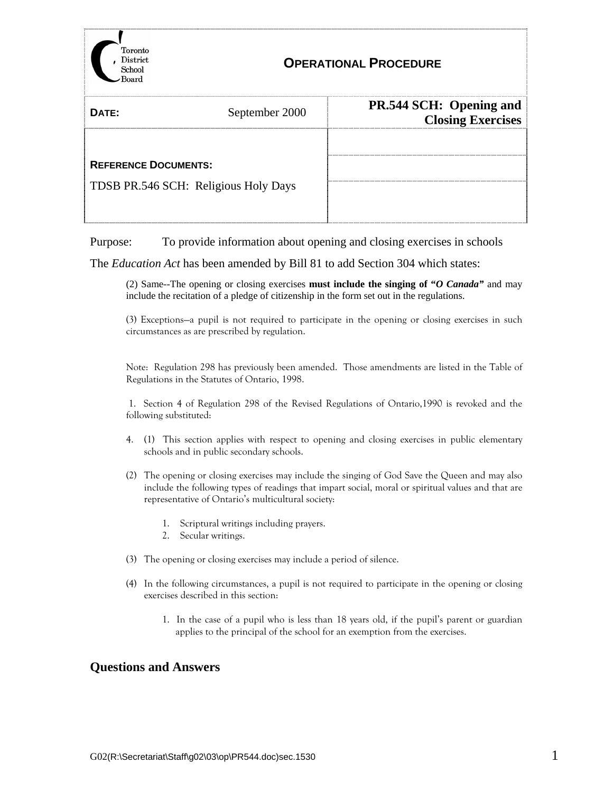

# **OPERATIONAL PROCEDURE**

| DATE:                                | September 2000 | PR.544 SCH: Opening and<br><b>Closing Exercises</b> |
|--------------------------------------|----------------|-----------------------------------------------------|
|                                      |                |                                                     |
| <b>REFERENCE DOCUMENTS:</b>          |                |                                                     |
| TDSB PR.546 SCH: Religious Holy Days |                |                                                     |
|                                      |                |                                                     |

Purpose: To provide information about opening and closing exercises in schools

The *Education Act* has been amended by Bill 81 to add Section 304 which states:

(2) Same--The opening or closing exercises **must include the singing of "***O Canada"* and may include the recitation of a pledge of citizenship in the form set out in the regulations.

(3) Exceptions—a pupil is not required to participate in the opening or closing exercises in such circumstances as are prescribed by regulation.

Note: Regulation 298 has previously been amended. Those amendments are listed in the Table of Regulations in the Statutes of Ontario, 1998.

 1. Section 4 of Regulation 298 of the Revised Regulations of Ontario,1990 is revoked and the following substituted:

- 4. (1) This section applies with respect to opening and closing exercises in public elementary schools and in public secondary schools.
- (2) The opening or closing exercises may include the singing of God Save the Queen and may also include the following types of readings that impart social, moral or spiritual values and that are representative of Ontario's multicultural society:
	- 1. Scriptural writings including prayers.
	- 2. Secular writings.
- (3) The opening or closing exercises may include a period of silence.
- (4) In the following circumstances, a pupil is not required to participate in the opening or closing exercises described in this section:
	- 1. In the case of a pupil who is less than 18 years old, if the pupil's parent or guardian applies to the principal of the school for an exemption from the exercises.

#### **Questions and Answers**